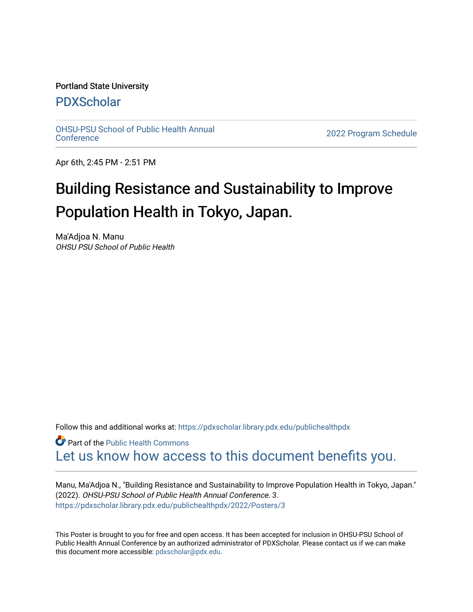#### Portland State University

#### [PDXScholar](https://pdxscholar.library.pdx.edu/)

[OHSU-PSU School of Public Health Annual](https://pdxscholar.library.pdx.edu/publichealthpdx)

2022 Program Schedule

Apr 6th, 2:45 PM - 2:51 PM

#### Building Resistance and Sustainability to Improve Population Health in Tokyo, Japan.

Ma'Adjoa N. Manu OHSU PSU School of Public Health

Follow this and additional works at: https://pdxscholar.library.pdx.edu/publichealthpdx

**C** Part of the Public Health Commons [Let us know how access to this document benefits you.](http://library.pdx.edu/services/pdxscholar-services/pdxscholar-feedback/) 

Manu, Ma'Adjoa N., "Building Resistance and Sustainability to Improve Population Health in Tokyo, Japan." (2022). OHSU-PSU School of Public Health Annual Conference. 3. [https://pdxscholar.library.pdx.edu/publichealthpdx/2022/Posters/3](https://pdxscholar.library.pdx.edu/publichealthpdx/2022/Posters/3?utm_source=pdxscholar.library.pdx.edu%2Fpublichealthpdx%2F2022%2FPosters%2F3&utm_medium=PDF&utm_campaign=PDFCoverPages)

This Poster is brought to you for free and open access. It has been accepted for inclusion in OHSU-PSU School of Public Health Annual Conference by an authorized administrator of PDXScholar. Please contact us if we can make this document more accessible: [pdxscholar@pdx.edu.](mailto:pdxscholar@pdx.edu)